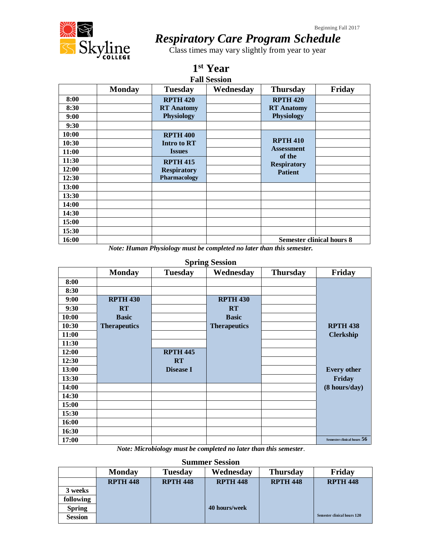

# *Respiratory Care Program Schedule*

Class times may vary slightly from year to year

**1 st Year**

| <b>Fall Session</b>                       |               |                     |           |                                                                     |        |  |
|-------------------------------------------|---------------|---------------------|-----------|---------------------------------------------------------------------|--------|--|
|                                           | <b>Monday</b> | <b>Tuesday</b>      | Wednesday | <b>Thursday</b>                                                     | Friday |  |
| 8:00                                      |               | <b>RPTH 420</b>     |           | <b>RPTH 420</b>                                                     |        |  |
| 8:30                                      |               | <b>RT</b> Anatomy   |           | <b>RT</b> Anatomy                                                   |        |  |
| 9:00                                      |               | <b>Physiology</b>   |           | Physiology                                                          |        |  |
| 9:30                                      |               |                     |           |                                                                     |        |  |
| 10:00                                     |               | <b>RPTH 400</b>     |           |                                                                     |        |  |
| 10:30                                     |               | <b>Intro to RT</b>  |           | <b>RPTH 410</b>                                                     |        |  |
| 11:00                                     |               | <b>Issues</b>       |           | <b>Assessment</b><br>of the<br><b>Respiratory</b><br><b>Patient</b> |        |  |
| 11:30                                     |               | <b>RPTH 415</b>     |           |                                                                     |        |  |
| 12:00                                     |               | <b>Respiratory</b>  |           |                                                                     |        |  |
| 12:30                                     |               | <b>Pharmacology</b> |           |                                                                     |        |  |
| 13:00                                     |               |                     |           |                                                                     |        |  |
| 13:30                                     |               |                     |           |                                                                     |        |  |
| 14:00                                     |               |                     |           |                                                                     |        |  |
| 14:30                                     |               |                     |           |                                                                     |        |  |
| 15:00                                     |               |                     |           |                                                                     |        |  |
| 15:30                                     |               |                     |           |                                                                     |        |  |
| 16:00<br><b>Semester clinical hours 8</b> |               |                     |           |                                                                     |        |  |

*Note: Human Physiology must be completed no later than this semester.*

### **Spring Session**

|       | <b>Monday</b>       | <b>Tuesday</b>   | Wednesday           | <b>Thursday</b> | Friday                     |
|-------|---------------------|------------------|---------------------|-----------------|----------------------------|
| 8:00  |                     |                  |                     |                 |                            |
| 8:30  |                     |                  |                     |                 |                            |
| 9:00  | <b>RPTH 430</b>     |                  | <b>RPTH 430</b>     |                 |                            |
| 9:30  | <b>RT</b>           |                  | <b>RT</b>           |                 |                            |
| 10:00 | <b>Basic</b>        |                  | <b>Basic</b>        |                 |                            |
| 10:30 | <b>Therapeutics</b> |                  | <b>Therapeutics</b> |                 | <b>RPTH 438</b>            |
| 11:00 |                     |                  |                     |                 | <b>Clerkship</b>           |
| 11:30 |                     |                  |                     |                 |                            |
| 12:00 |                     | <b>RPTH 445</b>  |                     |                 |                            |
| 12:30 |                     | <b>RT</b>        |                     |                 |                            |
| 13:00 |                     | <b>Disease I</b> |                     |                 | <b>Every other</b>         |
| 13:30 |                     |                  |                     |                 | Friday                     |
| 14:00 |                     |                  |                     |                 | (8 hours/day)              |
| 14:30 |                     |                  |                     |                 |                            |
| 15:00 |                     |                  |                     |                 |                            |
| 15:30 |                     |                  |                     |                 |                            |
| 16:00 |                     |                  |                     |                 |                            |
| 16:30 |                     |                  |                     |                 |                            |
| 17:00 |                     |                  |                     |                 | Semester clinical hours 56 |

*Note: Microbiology must be completed no later than this semester*.

**Summer Session**

|                | <b>Monday</b>   | <b>Tuesday</b>  | Wednesday       | <b>Thursday</b> | Friday                      |
|----------------|-----------------|-----------------|-----------------|-----------------|-----------------------------|
|                | <b>RPTH 448</b> | <b>RPTH 448</b> | <b>RPTH 448</b> | <b>RPTH 448</b> | <b>RPTH 448</b>             |
| 3 weeks        |                 |                 |                 |                 |                             |
| following      |                 |                 |                 |                 |                             |
| <b>Spring</b>  |                 |                 | 40 hours/week   |                 |                             |
| <b>Session</b> |                 |                 |                 |                 | Semester clinical hours 120 |